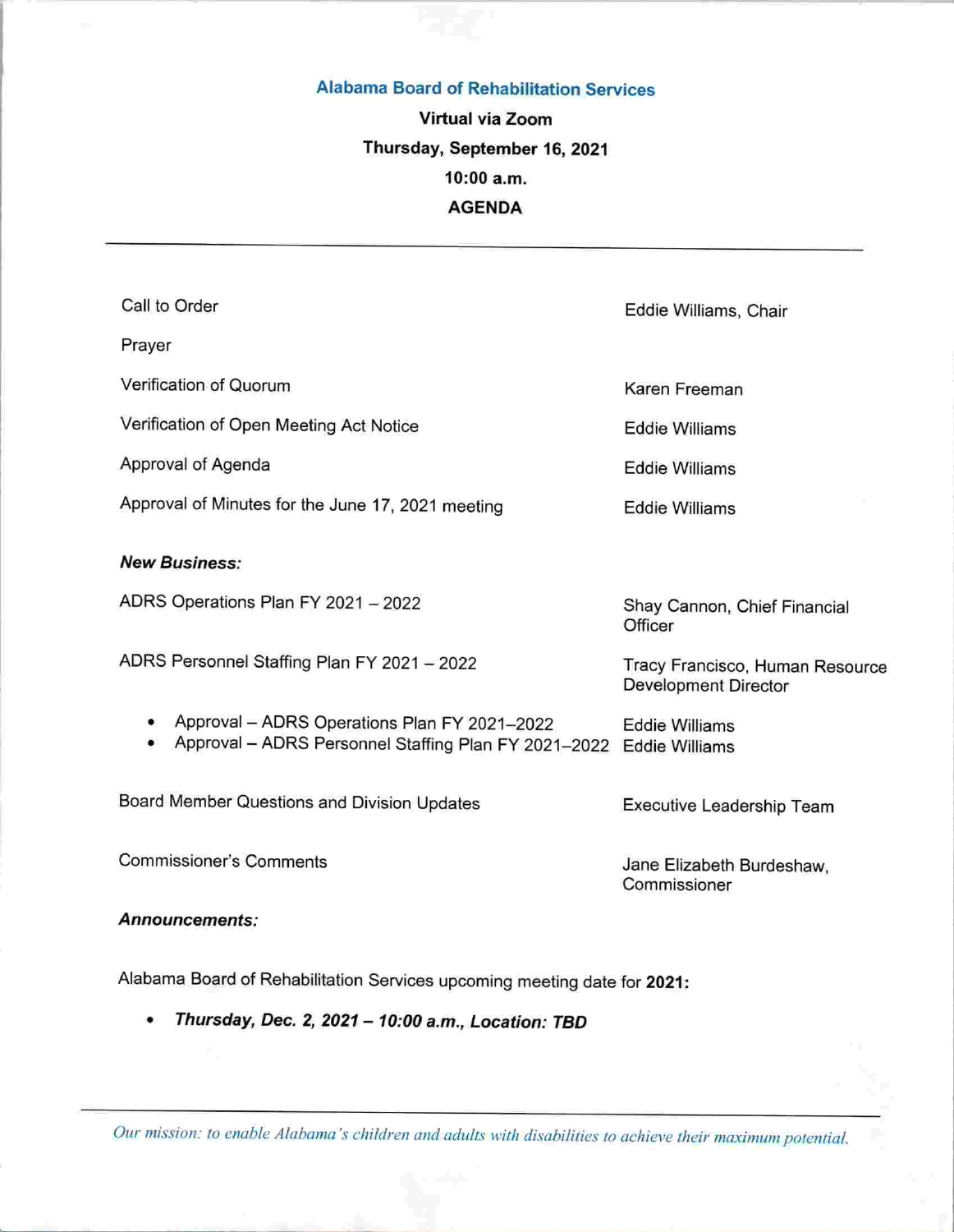#### Alabama Board of Rehabilitation Services

# Virtual via Zoom Thursday, September 16, 2021 10:00 a.m. AGENDA

| Call to Order                                                                                                       | Eddie Williams, Chair                                   |
|---------------------------------------------------------------------------------------------------------------------|---------------------------------------------------------|
| Prayer                                                                                                              |                                                         |
| Verification of Quorum                                                                                              | Karen Freeman                                           |
| Verification of Open Meeting Act Notice                                                                             | <b>Eddie Williams</b>                                   |
| Approval of Agenda                                                                                                  | <b>Eddie Williams</b>                                   |
| Approval of Minutes for the June 17, 2021 meeting                                                                   | <b>Eddie Williams</b>                                   |
| <b>New Business:</b>                                                                                                |                                                         |
| ADRS Operations Plan FY 2021 - 2022                                                                                 | Shay Cannon, Chief Financial<br>Officer                 |
| ADRS Personnel Staffing Plan FY 2021 - 2022                                                                         | Tracy Francisco, Human Resource<br>Development Director |
| Approval - ADRS Operations Plan FY 2021-2022<br>Approval - ADRS Personnel Staffing Plan FY 2021-2022 Eddie Williams | <b>Eddie Williams</b>                                   |
| Board Member Questions and Division Updates                                                                         | Executive Leadership Team                               |
| <b>Commissioner's Comments</b>                                                                                      | Jane Elizabeth Burdeshaw,<br>Commissioner               |
| Announcements:                                                                                                      |                                                         |

Alabama Board of Rehabilitation Services upcoming meeting date for 2021:

• Thursday, Dec, 2, 2021 - 10:00 a.m.. Location: TBD

Our mission: to enable Alabama's children and adults with disabilities to achieve their maximum potential.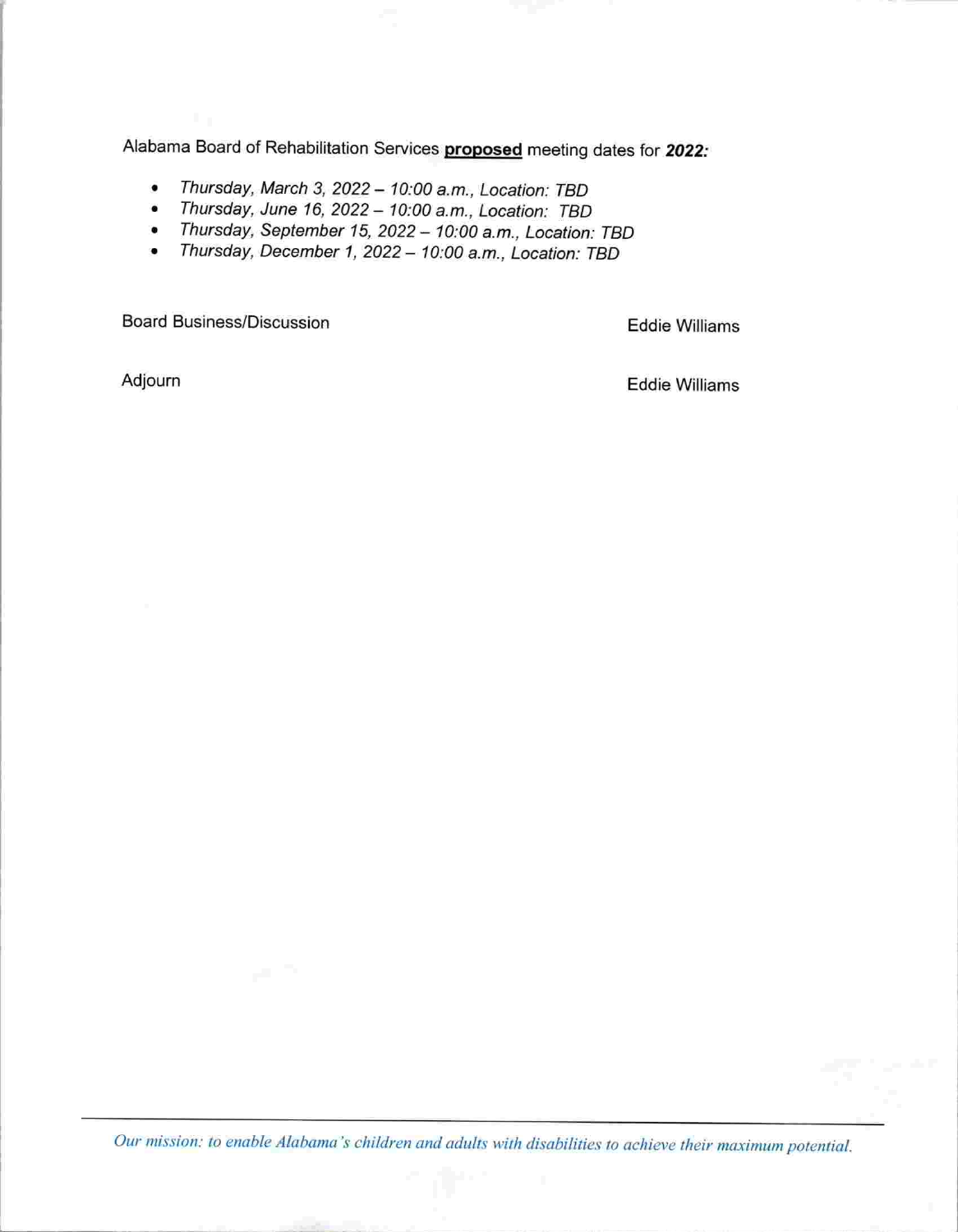Alabama Board of Rehabilitation Services proposed meeting dates for 2022:

- Thursday, March 3, 2022 10:00 a.m., Location: TBD<br>• Thursday, June 16, 2022 10:00 a.m., Location: TBD
- Thursday, June 16. 2022- 10:00 a.m.. Location: TBD
- Thursday, September 15, 2022 10:00 a.m., Location: TBD<br>• Thursday, December 1, 2022 10:00 a.m., Location: TBD
- Thursday, December 1, 2022 10:00 a.m., Location: TBD

Board Business/Discussion **Eddie Williams** 

Adjourn **Eddie Williams** 

Our mission: to enable Alabama's children and adults with disabilities to achieve their maximum potential.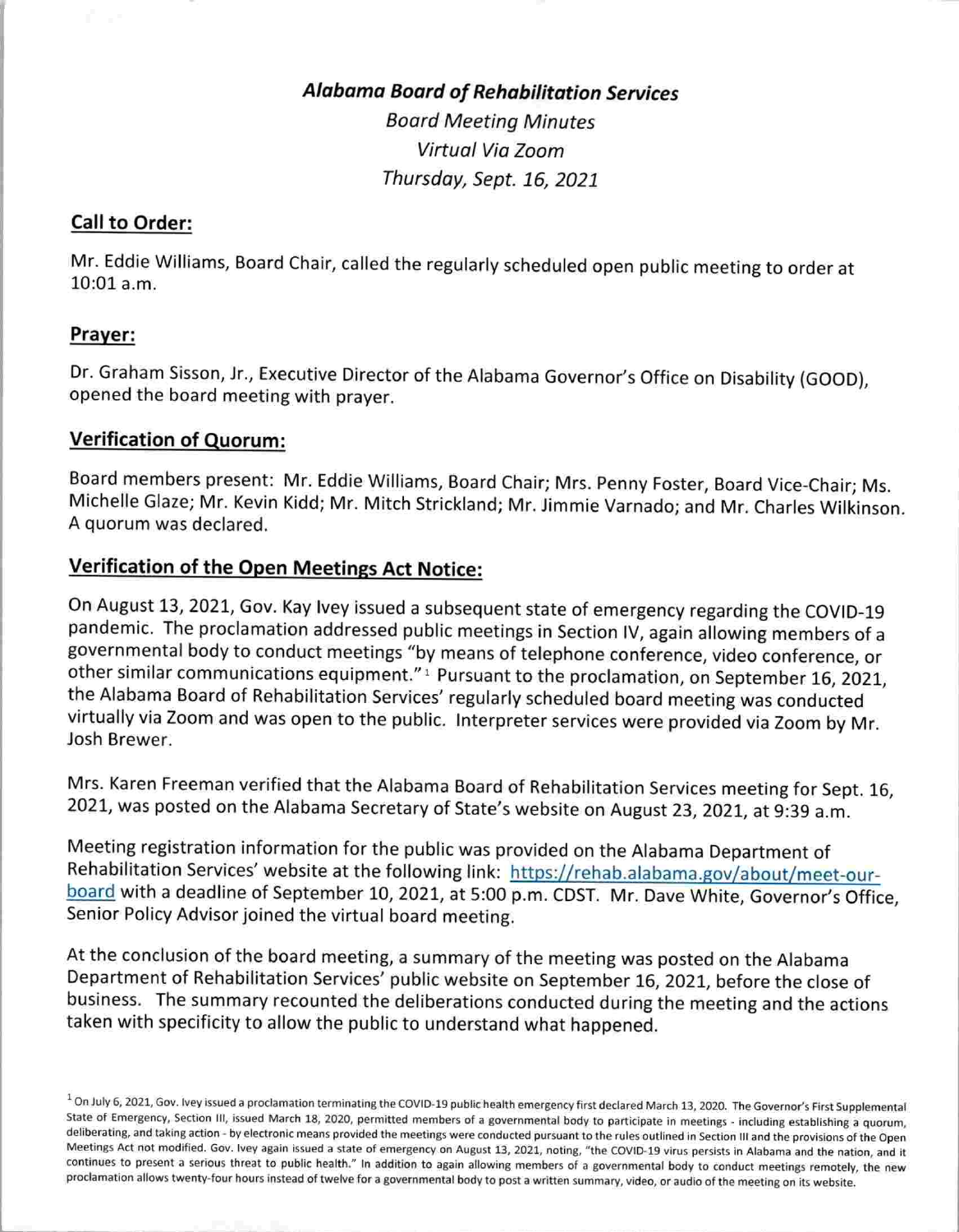# **Alabama Board of Rehabilitation Services**

Board Meeting Minutes Virtual Via Zoom Thursday, Sept. 16, 2021

#### Call to Order:

Mr. Eddie Williams, Board Chair, called the regularly scheduled open public meeting to order at 10:01a.m.

#### Prayer:

Dr. Graham Sisson, Jr., Executive Director of the Alabama Governor's Office on Disability (GOOD), opened the board meeting with prayer.

#### Verification of Quorum:

Board members present: Mr. Eddie Williams, Board Chair; Mrs. Penny Foster, Board Vice-Chair; Ms. Michelle Glaze; Mr. Kevin Kidd; Mr. Mitch Strickland; Mr. Jimmie Varnado; and Mr. Charles Wilkinson, A quorum was declared.

## Verification of the Open Meetings Act Notice:

On August 13, 2021, Gov. Kay Ivey issued a subsequent state of emergency regarding the COVID-19 pandemic. The proclamation addressed public meetings in Section IV, again allowing members of a governmental body to conduct meetings "by means of telephone conference, video conference, or other similar communications equipment."<sup>1</sup> Pursuant to the proclamation, on September 16, 2021, the Alabama Board of Rehabilitation Services' regularly scheduled board meeting was conducted virtually via Zoom and was open to the public. Interpreter services were provided via Zoom by Mr. Josh Brewer.

Mrs. Karen Freeman verified that the Alabama Board of Rehabilitation Services meeting for Sept. 16, 2021, was posted on the Alabama Secretary of State's website on August 23, 2021, at 9:39 a.m.

Meeting registration information for the public was provided on the Alabama Department of Rehabilitation Services' website at the following link: https://rehab.alabama.gov/about/meet-ourboard with a deadline of September 10, 2021, at 5:00 p.m. CDST. Mr. Dave White, Governor's Office, Senior Policy Advisor joined the virtual board meeting.

At the conclusion of the board meeting, a summary of the meeting was posted on the Alabama Department of Rehabilitation Services' public website on September 16, 2021, before the close of business. The summary recounted the deliberations conducted during the meeting and the actions taken with specificity to allow the public to understand what happened.

 $^1$  On July 6, 2021, Gov. Ivey issued a proclamation terminating the COVID-19 public health emergency first declared March 13, 2020. The Governor's First Supplemental State of Emergency, Section III, issued March 18, 2020, permitted members of a governmental body to participate in meetings - including establishing a quorum, deliberating, and taking action - by electronic means provided the meetings were conducted pursuant to the rules outlined in Section III and the provisions of the Open Meetings Act not modified. Gov. Ivey again issued a state of emergency on August 13, 2021, noting, "the COVtD-19 virus persists in Alabama and the nation, and it continues to present a serious threat to public health." In addition to again allowing members of a governmental body to conduct meetings remotely, the new proclamation allows twenty-four hours instead of twelve for a governmental body to post a written summary, video, or audio of the meeting on its website.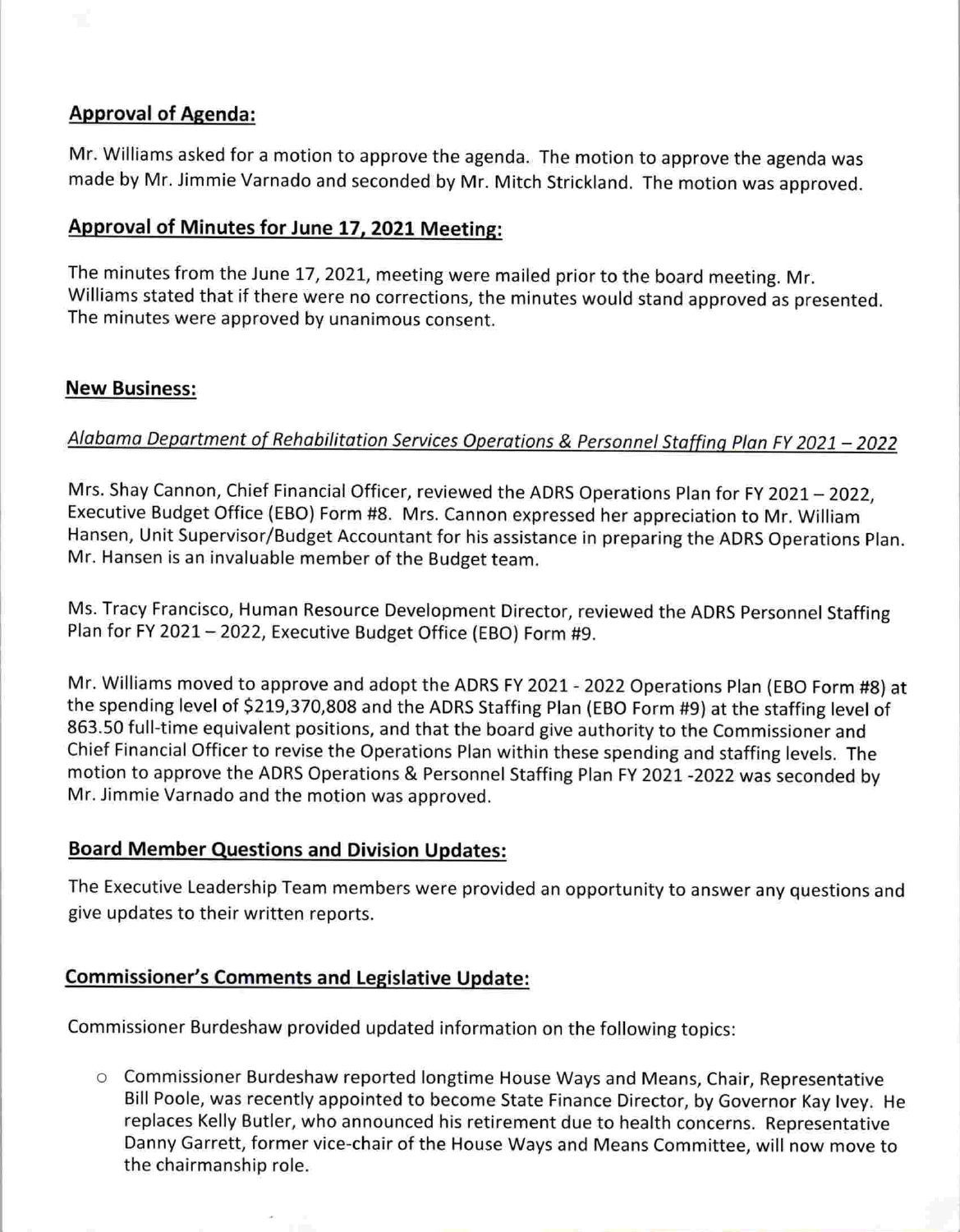## Approval of Agenda:

Mr. Williams asked for a motion to approve the agenda. The motion to approve the agenda was made by Mr. Jimmie Varnado and seconded by Mr. Mitch Strickland. The motion was approved.

## Approval of Minutes for June 17, 2021 Meeting:

The minutes from the June 17, 2021, meeting were mailed prior to the board meeting. Mr. Williams stated that if there were no corrections, the minutes would stand approved as presented. The minutes were approved by unanimous consent.

## New Business:

## Alabama Department of Rehobilitation Services Operations & Personnel Staffing Plan FY 2021 - 2022

Mrs. Shay Cannon, Chief Financial Officer, reviewed the ADRS Operations Plan for FY 2021 - 2022, Executive Budget Office (EBO) Form #8. Mrs. Cannon expressed her appreciation to Mr. William Hansen, Unit Supervisor/Budget Accountant for his assistance in preparing the ADRS Operations Plan. Mr. Hansen is an invaluable member of the Budget team.

Ms. Tracy Francisco, Human Resource Development Director, reviewed the ADRS Personnel Staffing Plan for FY 2021 - 2022, Executive Budget Office (EBO) Form #9.

Mr. Williams moved to approve and adopt the ADRS FY 2021 - 2022 Operations Plan (EBO Form #8) at the spending level of \$219,370,808 and the ADRS Staffing Plan (EBO Form #9) at the staffing level of 863.50 full-time equivalent positions, and that the board give authority to the Commissioner and Chief Financial Officer to revise the Operations Plan within these spending and staffing levels. The motion to approve the ADRS Operations & Personnel Staffing Plan FY 2021 -2022 was seconded by Mr. Jimmie Varnado and the motion was approved.

### Board Member Questions and Division Updates:

The Executive Leadership Team members were provided an opportunity to answer any questions and give updates to their written reports.

## Commissioner's Comments and Legislative Update:

Commissioner Burdeshaw provided updated information on the following topics:

o Commissioner Burdeshaw reported longtime House Ways and Means, Chair, Representative Bill Poole, was recently appointed to become State Finance Director, by Governor Kay Ivey. He replaces Kelly Butler, who announced his retirement due to health concerns. Representative Danny Garrett, former vice-chair of the House Ways and Means Committee, will now move to the chairmanship role.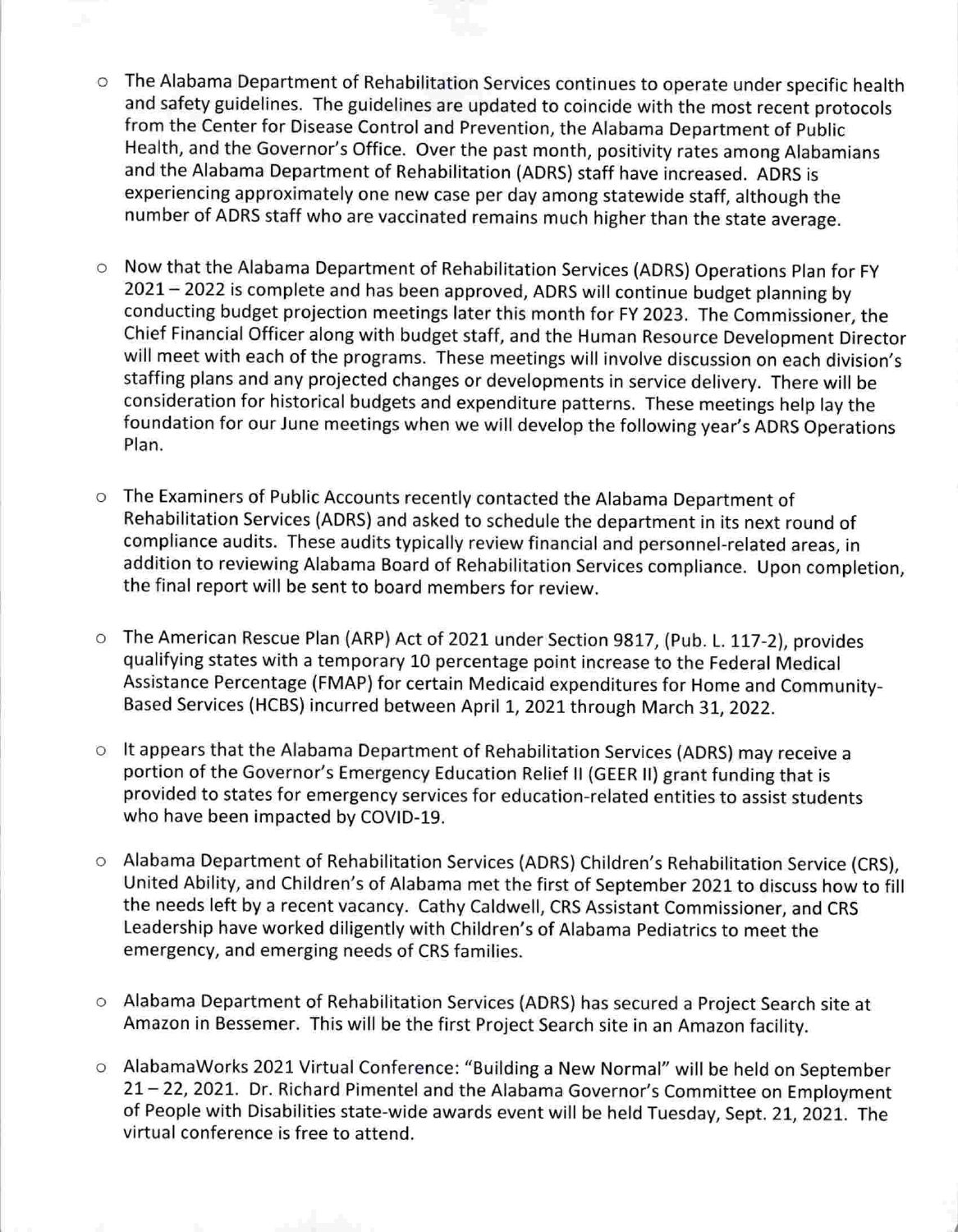- o The Alabama Department of Rehabilitation Services continues to operate under specific health and safety guidelines. The guidelines are updated to coincide with the most recent protocols from the Center for Disease Control and Prevention, the Alabama Department of Public Health, and the Governor's Office. Over the past month, positivity rates among Alabamians and the Alabama Department of Rehabilitation (ADRS) staff have increased. ADRS is experiencing approximately one new case per day among statewide staff, although the number of ADRS staff who are vaccinated remains much higher than the state average.
- o Now that the Alabama Department of Rehabilitation Services (ADRS) Operations Plan for FY 2021 - 2022 is complete and has been approved, ADRS will continue budget planning by conducting budget projection meetings later this month for FY 2023. The Commissioner, the Chief Financial Officer along with budget staff, and the Human Resource Development Director will meet with each of the programs. These meetings will involve discussion on each division's staffing plans and any projected changes or developments in service delivery. There will be consideration for historical budgets and expenditure patterns. These meetings help lay the foundation for our June meetings when we will develop the following year's ADRS Operations Plan.
- o The Examiners of Public Accounts recently contacted the Alabama Department of Rehabilitation Services (ADRS) and asked to schedule the department in its next round of compliance audits. These audits typically review financial and personnel-related areas, in addition to reviewing Alabama Board of Rehabilitation Services compliance. Upon completion, the final report will be sent to board members for review.
- o The American Rescue Plan (ARP) Act of 2021 under Section 9817, (Pub. L. 117-2), provides qualifying states with a temporary 10 percentage point increase to the Federal Medical Assistance Percentage (FMAP) for certain Medicaid expenditures for Home and Community-Based Services (HCBS) incurred between April 1, 2021 through March 31, 2022.
- o It appears that the Alabama Department of Rehabilitation Services (ADRS) may receive a portion of the Governor's Emergency Education Relief II (GEER II) grant funding that is provided to states for emergency services for education-related entities to assist students who have been impacted by COVID-19.
- o Alabama Department of Rehabilitation Services (ADRS) Children's Rehabilitation Service (CRS), United Ability, and Children's of Alabama met the first of September 2021 to discuss how to fill the needs left by a recent vacancy. Cathy Caldwell, CRS Assistant Commissioner, and CRS Leadership have worked diligently with Children's of Alabama Pediatrics to meet the emergency, and emerging needs of CRS families.
- o Alabama Department of Rehabilitation Services (ADRS) has secured a Project Search site at Amazon in Bessemer. This will be the first Project Search site in an Amazon facility.
- o AlabamaWorks 2021 Virtual Conference: "Building a New Normal" will be held on September 21 - 22, 2021. Dr. Richard Pimentel and the Alabama Governor's Committee on Employment of People with Disabilities state-wide awards event will be held Tuesday, Sept. 21, 2021. The virtual conference is free to attend.